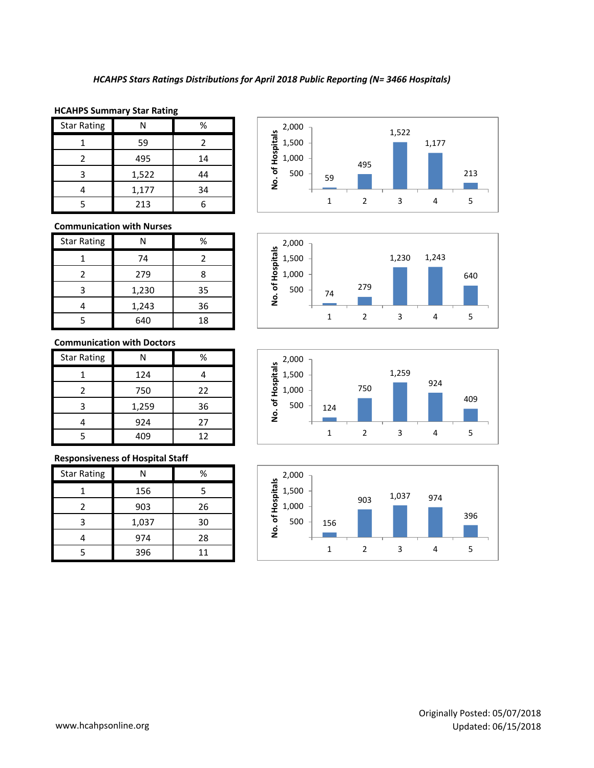1,000 1,500 2,000

#### **HCAHPS Summary Star Rating**

| <b>Star Rating</b> |       | %  |
|--------------------|-------|----|
|                    | 59    |    |
|                    | 495   | 14 |
| 3                  | 1,522 | 44 |
|                    | 1,177 | 34 |
|                    | 213   |    |



# **Communication with Nurses**

| <b>Star Rating</b> | Ν     | %  |
|--------------------|-------|----|
|                    | 74    | 2  |
| 2                  | 279   | 8  |
| ς                  | 1,230 | 35 |
|                    | 1,243 | 36 |
|                    | 640   | 18 |

## **Communication with Doctors**

| <b>Star Rating</b> |       | %  |
|--------------------|-------|----|
|                    | 124   |    |
| 2                  | 750   | 22 |
| 3                  | 1,259 | 36 |
|                    | 924   | 27 |
|                    | 409   | 12 |

## **Responsiveness of Hospital Staff**

| <b>Star Rating</b> | N     | %  |
|--------------------|-------|----|
|                    | 156   | 5  |
| 2                  | 903   | 26 |
| 3                  | 1,037 | 30 |
|                    | 974   | 28 |
|                    | 396   | 11 |



1,230 1,243

640



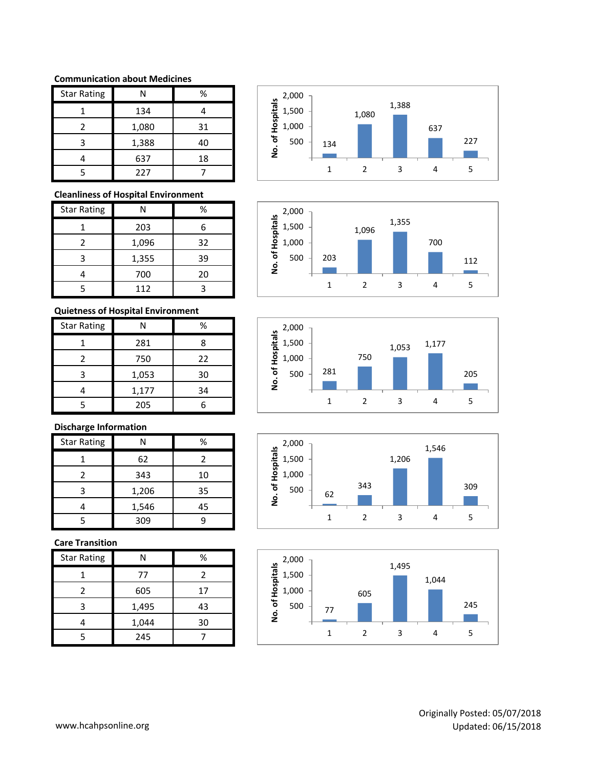#### **Communication about Medicines**

| <b>Star Rating</b> | Ν     | %  |
|--------------------|-------|----|
|                    | 134   |    |
| 2                  | 1,080 | 31 |
| 3                  | 1,388 | 40 |
|                    | 637   | 18 |
|                    | 227   |    |

### **Cleanliness of Hospital Environment**

| <b>Star Rating</b> | Ν     | ℅  |
|--------------------|-------|----|
|                    | 203   | 6  |
|                    | 1,096 | 32 |
| 3                  | 1,355 | 39 |
|                    | 700   | 20 |
|                    | 112   |    |

# **Quietness of Hospital Environment**

| <b>Star Rating</b> |       | %  |
|--------------------|-------|----|
|                    | 281   | 8  |
| 2                  | 750   | 22 |
| 3                  | 1,053 | 30 |
|                    | 1,177 | 34 |
|                    | 205   |    |

# **Discharge Information**

| <b>Star Rating</b> | N     | %  |
|--------------------|-------|----|
|                    | 62    | 2  |
|                    | 343   | 10 |
|                    | 1,206 | 35 |
|                    | 1,546 | 45 |
|                    | 309   |    |

## **Care Transition**

| <b>Star Rating</b> |       | ℅  |
|--------------------|-------|----|
|                    | 77    |    |
| 2                  | 605   | 17 |
| 3                  | 1,495 | 43 |
|                    | 1,044 | 30 |
| ς                  | 245   |    |